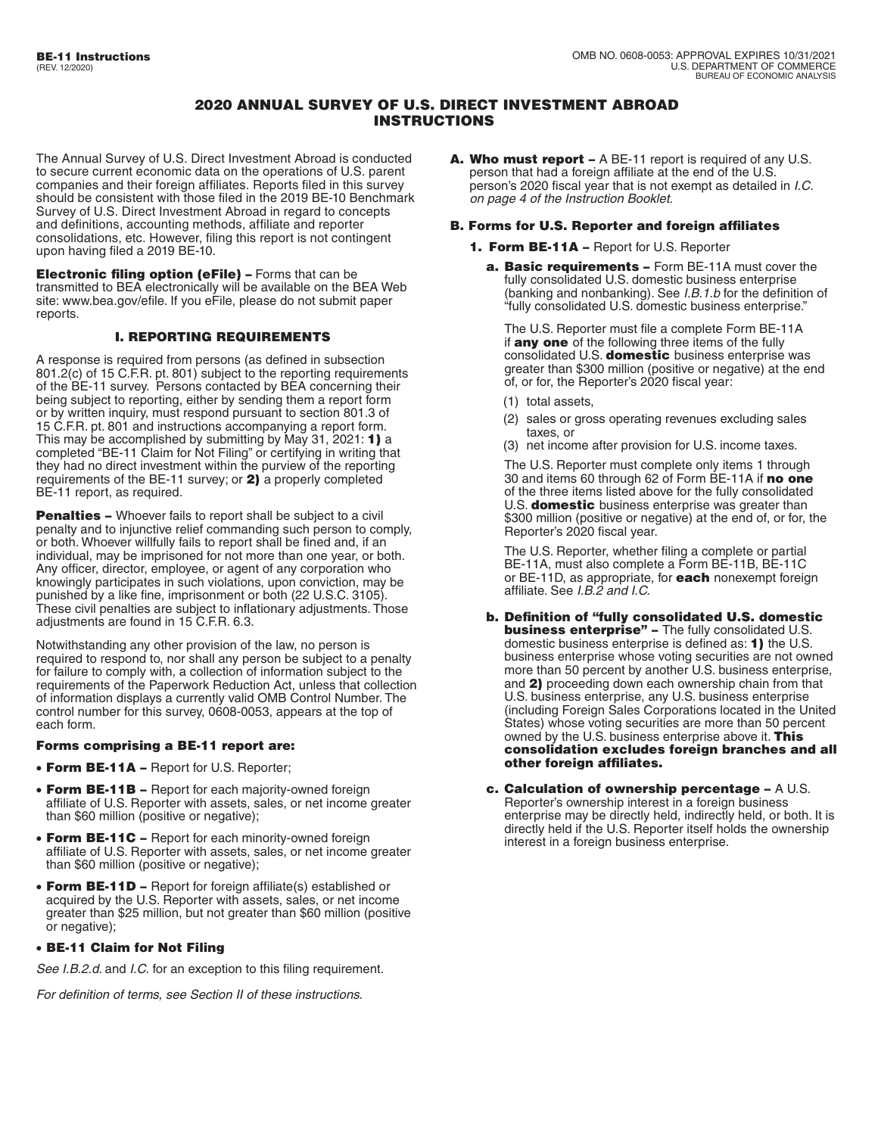# 2020 ANNUAL SURVEY OF U.S. DIRECT INVESTMENT ABROAD INSTRUCTIONS

The Annual Survey of U.S. Direct Investment Abroad is conducted to secure current economic data on the operations of U.S. parent companies and their foreign affiliates. Reports filed in this survey should be consistent with those filed in the 2019 BE-10 Benchmark Survey of U.S. Direct Investment Abroad in regard to concepts and definitions, accounting methods, affiliate and reporter consolidations, etc. However, filing this report is not contingent upon having filed a 2019 BE-10.

Electronic filing option (eFile) – Forms that can be transmitted to BEA electronically will be available on the BEA Web site[: www.bea.gov/efile.](http://www.bea.gov/efile) If you eFile, please do not submit paper reports.

## I. REPORTING REQUIREMENTS

A response is required from persons (as defined in subsection 801.2(c) of 15 C.F.R. pt. 801) subject to the reporting requirements of the BE-11 survey. Persons contacted by BEA concerning their being subject to reporting, either by sending them a report form or by written inquiry, must respond pursuant to section 801.3 of 15 C.F.R. pt. 801 and instructions accompanying a report form. This may be accomplished by submitting by May 31, 2021: 1) a completed "BE-11 Claim for Not Filing" or certifying in writing that they had no direct investment within the purview of the reporting requirements of the BE-11 survey; or 2) a properly completed BE-11 report, as required.

**Penalties -** Whoever fails to report shall be subject to a civil penalty and to injunctive relief commanding such person to comply, or both. Whoever willfully fails to report shall be fined and, if an individual, may be imprisoned for not more than one year, or both. Any officer, director, employee, or agent of any corporation who knowingly participates in such violations, upon conviction, may be punished by a like fine, imprisonment or both (22 U.S.C. 3105). These civil penalties are subject to inflationary adjustments. Those adjustments are found in 15 C.F.R. 6.3.

Notwithstanding any other provision of the law, no person is required to respond to, nor shall any person be subject to a penalty for failure to comply with, a collection of information subject to the requirements of the Paperwork Reduction Act, unless that collection of information displays a currently valid OMB Control Number. The control number for this survey, 0608-0053, appears at the top of each form.

## Forms comprising a BE-11 report are:

- Form BE-11A Report for U.S. Reporter;
- Form BE-11B Report for each majority-owned foreign affiliate of U.S. Reporter with assets, sales, or net income greater than \$60 million (positive or negative);
- Form BE-11C Report for each minority-owned foreign affiliate of U.S. Reporter with assets, sales, or net income greater than \$60 million (positive or negative);
- Form BE-11D Report for foreign affiliate(s) established or acquired by the U.S. Reporter with assets, sales, or net income greater than \$25 million, but not greater than \$60 million (positive or negative);

## • BE-11 Claim for Not Filing

*See I.B.2.d.* and *I.C.* for an exception to this filing requirement.

*For definition of terms, see Section II of these instructions.* 

A. Who must report – A BE-11 report is required of any U.S. person that had a foreign affiliate at the end of the U.S. person's 2020 fiscal year that is not exempt as detailed in *I.C*. *on page 4 of the Instruction Booklet*.

## B. Forms for U.S. Reporter and foreign affiliates

- 1. Form BE-11A Report for U.S. Reporter
	- a. Basic requirements Form BE-11A must cover the fully consolidated U.S. domestic business enterprise (banking and nonbanking). See *I.B.1.b* for the definition of "fully consolidated U.S. domestic business enterprise."

The U.S. Reporter must file a complete Form BE-11A if any one of the following three items of the fully consolidated U.S. domestic business enterprise was greater than \$300 million (positive or negative) at the end of, or for, the Reporter's 2020 fiscal year:

- (1) total assets,
- (2) sales or gross operating revenues excluding sales taxes, or
- (3) net income after provision for U.S. income taxes.

The U.S. Reporter must complete only items 1 through 30 and items 60 through 62 of Form BE-11A if no one of the three items listed above for the fully consolidated U.S. **domestic** business enterprise was greater than \$300 million (positive or negative) at the end of, or for, the Reporter's 2020 fiscal year.

The U.S. Reporter, whether filing a complete or partial BE-11A, must also complete a Form BE-11B, BE-11C or BE-11D, as appropriate, for **each** nonexempt foreign affiliate. See *I.B.2 and I.C.* 

- b. Definition of "fully consolidated U.S. domestic **business enterprise"** - The fully consolidated U.S. domestic business enterprise is defined as: 1) the U.S. business enterprise whose voting securities are not owned more than 50 percent by another U.S. business enterprise, and 2) proceeding down each ownership chain from that U.S. business enterprise, any U.S. business enterprise (including Foreign Sales Corporations located in the United States) whose voting securities are more than 50 percent owned by the U.S. business enterprise above it. This consolidation excludes foreign branches and all other foreign affiliates.
- c. Calculation of ownership percentage A U.S. Reporter's ownership interest in a foreign business enterprise may be directly held, indirectly held, or both. It is directly held if the U.S. Reporter itself holds the ownership interest in a foreign business enterprise.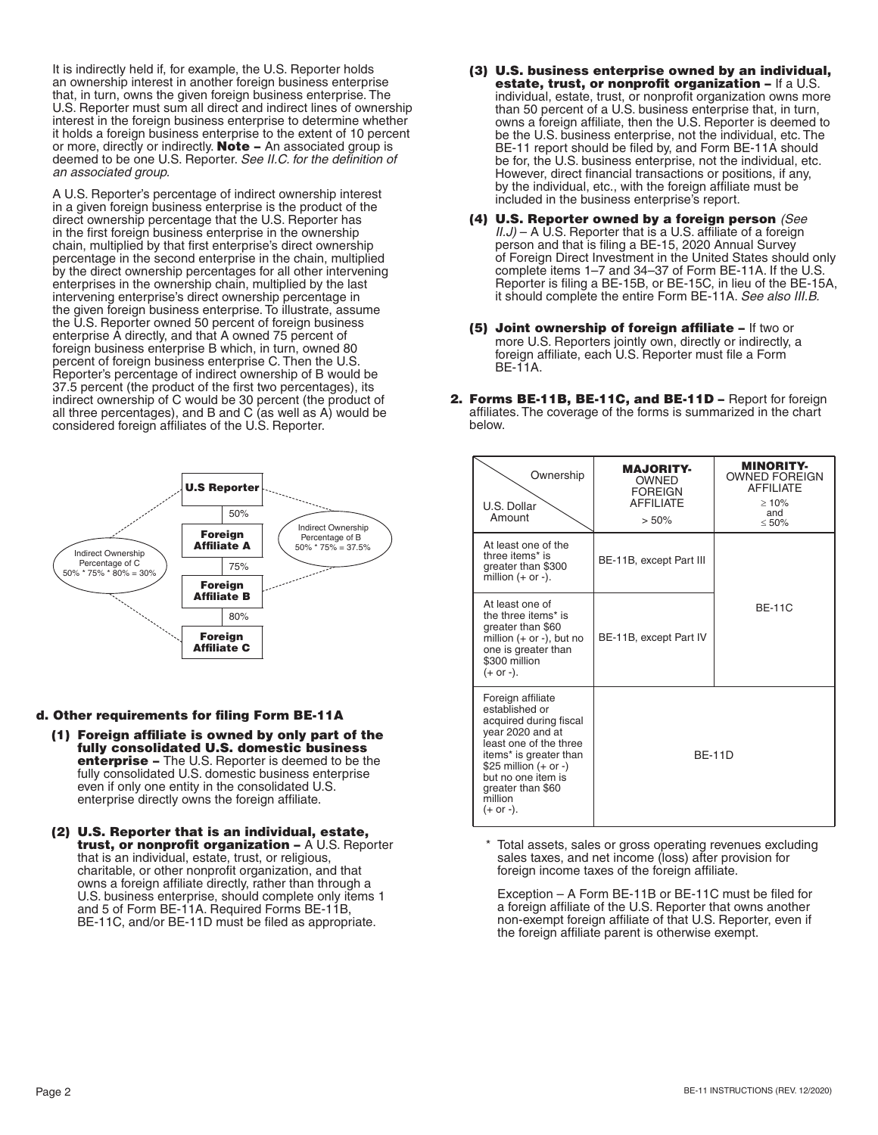It is indirectly held if, for example, the U.S. Reporter holds an ownership interest in another foreign business enterprise that, in turn, owns the given foreign business enterprise. The U.S. Reporter must sum all direct and indirect lines of ownership interest in the foreign business enterprise to determine whether it holds a foreign business enterprise to the extent of 10 percent or more, directly or indirectly. **Note** – An associated group is deemed to be one U.S. Reporter. *See II.C. for the definition of an associated group.* 

A U.S. Reporter's percentage of indirect ownership interest in a given foreign business enterprise is the product of the direct ownership percentage that the U.S. Reporter has in the first foreign business enterprise in the ownership chain, multiplied by that first enterprise's direct ownership percentage in the second enterprise in the chain, multiplied by the direct ownership percentages for all other intervening enterprises in the ownership chain, multiplied by the last intervening enterprise's direct ownership percentage in the given foreign business enterprise. To illustrate, assume the U.S. Reporter owned 50 percent of foreign business enterprise A directly, and that A owned 75 percent of foreign business enterprise B which, in turn, owned 80 percent of foreign business enterprise C. Then the U.S. Reporter's percentage of indirect ownership of B would be 37.5 percent (the product of the first two percentages), its indirect ownership of C would be 30 percent (the product of all three percentages), and B and C (as well as A) would be considered foreign affiliates of the U.S. Reporter.



#### d. Other requirements for filing Form BE-11A

- (1) Foreign affiliate is owned by only part of the fully consolidated U.S. domestic business enterprise – The U.S. Reporter is deemed to be the fully consolidated U.S. domestic business enterprise even if only one entity in the consolidated U.S. enterprise directly owns the foreign affiliate.
- (2) U.S. Reporter that is an individual, estate, trust, or nonprofit organization - A U.S. Reporter that is an individual, estate, trust, or religious, charitable, or other nonprofit organization, and that owns a foreign affiliate directly, rather than through a U.S. business enterprise, should complete only items 1 and 5 of Form BE-11A. Required Forms BE-11B, BE-11C, and/or BE-11D must be filed as appropriate.
- (3) U.S. business enterprise owned by an individual, estate, trust, or nonprofit organization – If a U.S. individual, estate, trust, or nonprofit organization owns more than 50 percent of a U.S. business enterprise that, in turn, owns a foreign affiliate, then the U.S. Reporter is deemed to be the U.S. business enterprise, not the individual, etc. The BE-11 report should be filed by, and Form BE-11A should be for, the U.S. business enterprise, not the individual, etc. However, direct financial transactions or positions, if any, by the individual, etc., with the foreign affiliate must be included in the business enterprise's report.
- (4) U.S. Reporter owned by a foreign person *(See II.J*) – A U.S. Reporter that is a U.S. affiliate of a foreign person and that is filing a BE-15, 2020 Annual Survey of Foreign Direct Investment in the United States should only complete items 1–7 and 34–37 of Form BE-11A. If the U.S. Reporter is filing a BE-15B, or BE-15C, in lieu of the BE-15A, it should complete the entire Form BE-11A. *See also III.B.*
- (5) Joint ownership of foreign affiliate If two or more U.S. Reporters jointly own, directly or indirectly, a foreign affiliate, each U.S. Reporter must file a Form BE-11A.
- 2. Forms BE-11B, BE-11C, and BE-11D Report for foreign affiliates. The coverage of the forms is summarized in the chart below.

| Ownership<br>U.S. Dollar<br>Amount                                                                                                                                                                                                    | <b>MAJORITY-</b><br><b>OWNED</b><br><b>FOREIGN</b><br><b>AFFILIATE</b><br>> 50% | <b>MINORITY-</b><br><b>OWNED FOREIGN</b><br><b>AFFILIATE</b><br>$\geq 10\%$<br>and<br>< 50% |
|---------------------------------------------------------------------------------------------------------------------------------------------------------------------------------------------------------------------------------------|---------------------------------------------------------------------------------|---------------------------------------------------------------------------------------------|
| At least one of the<br>three items* is<br>greater than \$300<br>million $(+$ or $-$ ).                                                                                                                                                | BE-11B, except Part III                                                         |                                                                                             |
| At least one of<br>the three items* is<br>greater than \$60<br>million $(+$ or $-$ ), but no<br>one is greater than<br>\$300 million<br>$(+ or -).$                                                                                   | BE-11B, except Part IV                                                          | $BF-11C$                                                                                    |
| Foreign affiliate<br>established or<br>acquired during fiscal<br>year 2020 and at<br>least one of the three<br>items* is greater than<br>\$25 million $(+ or -)$<br>but no one item is<br>greater than \$60<br>million<br>$(+ or -).$ | <b>BF-11D</b>                                                                   |                                                                                             |

 \* Total assets, sales or gross operating revenues excluding sales taxes, and net income (loss) after provision for foreign income taxes of the foreign affiliate.

Exception – A Form BE-11B or BE-11C must be filed for a foreign affiliate of the U.S. Reporter that owns another non-exempt foreign affiliate of that U.S. Reporter, even if the foreign affiliate parent is otherwise exempt.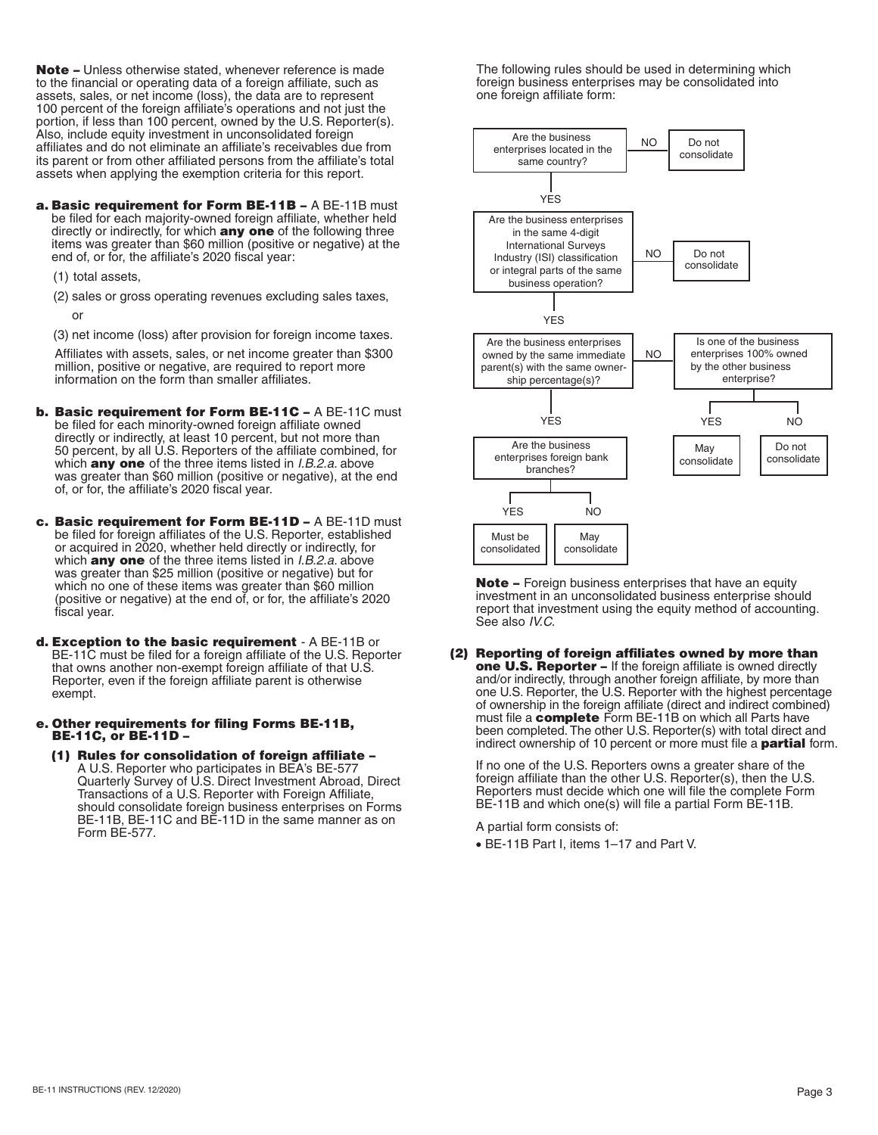Note – Unless otherwise stated, whenever reference is made to the financial or operating data of a foreign affiliate, such as assets, sales, or net income (loss), the data are to represent 100 percent of the foreign affiliate's operations and not just the portion, if less than 100 percent, owned by the U.S. Reporter(s). Also, include equity investment in unconsolidated foreign affiliates and do not eliminate an affiliate's receivables due from its parent or from other affiliated persons from the affiliate's total assets when applying the exemption criteria for this report.

a. Basic requirement for Form BE-11B - A BE-11B must be filed for each majority-owned foreign affiliate, whether held directly or indirectly, for which **any one** of the following three items was greater than \$60 million (positive or negative) at the end of, or for, the affiliate's 2020 fiscal year:

(1) total assets,

(2) sales or gross operating revenues excluding sales taxes,

or

(3) net income (loss) after provision for foreign income taxes.

Affiliates with assets, sales, or net income greater than \$300 million, positive or negative, are required to report more information on the form than smaller affiliates.

- b. Basic requirement for Form BE-11C A BE-11C must be filed for each minority-owned foreign affiliate owned directly or indirectly, at least 10 percent, but not more than 50 percent, by all U.S. Reporters of the affiliate combined, for which any one of the three items listed in *I.B.2.a.* above was greater than \$60 million (positive or negative), at the end of, or for, the affiliate's 2020 fiscal year.
- c. Basic requirement for Form BE-11D A BE-11D must be filed for foreign affiliates of the U.S. Reporter, established or acquired in 2020, whether held directly or indirectly, for which any one of the three items listed in *I.B.2.a.* above was greater than \$25 million (positive or negative) but for which no one of these items was greater than \$60 million (positive or negative) at the end of, or for, the affiliate's 2020 fiscal year.
- d. Exception to the basic requirement A BE-11B or BE-11C must be filed for a foreign affiliate of the U.S. Reporter that owns another non-exempt foreign affiliate of that U.S. Reporter, even if the foreign affiliate parent is otherwise exempt.
- e. Other requirements for filing Forms BE-11B, BE-11C, or BE-11D –
	- (1) Rules for consolidation of foreign affiliate A U.S. Reporter who participates in BEA's BE-577 Quarterly Survey of U.S. Direct Investment Abroad, Direct Transactions of a U.S. Reporter with Foreign Affiliate, should consolidate foreign business enterprises on Forms BE-11B, BE-11C and BE-11D in the same manner as on Form BE-577.

The following rules should be used in determining which foreign business enterprises may be consolidated into one foreign affiliate form:



Note - Foreign business enterprises that have an equity investment in an unconsolidated business enterprise should report that investment using the equity method of accounting. See also *IV.C.* 

(2) Reporting of foreign affiliates owned by more than one U.S. Reporter - If the foreign affiliate is owned directly and/or indirectly, through another foreign affiliate, by more than one U.S. Reporter, the U.S. Reporter with the highest percentage of ownership in the foreign affiliate (direct and indirect combined) must file a **complete** Form BE-11B on which all Parts have been completed. The other U.S. Reporter(s) with total direct and indirect ownership of 10 percent or more must file a **partial** form.

If no one of the U.S. Reporters owns a greater share of the foreign affiliate than the other U.S. Reporter(s), then the U.S. Reporters must decide which one will file the complete Form BE-11B and which one(s) will file a partial Form BE-11B.

A partial form consists of:

• BE-11B Part I, items 1–17 and Part V.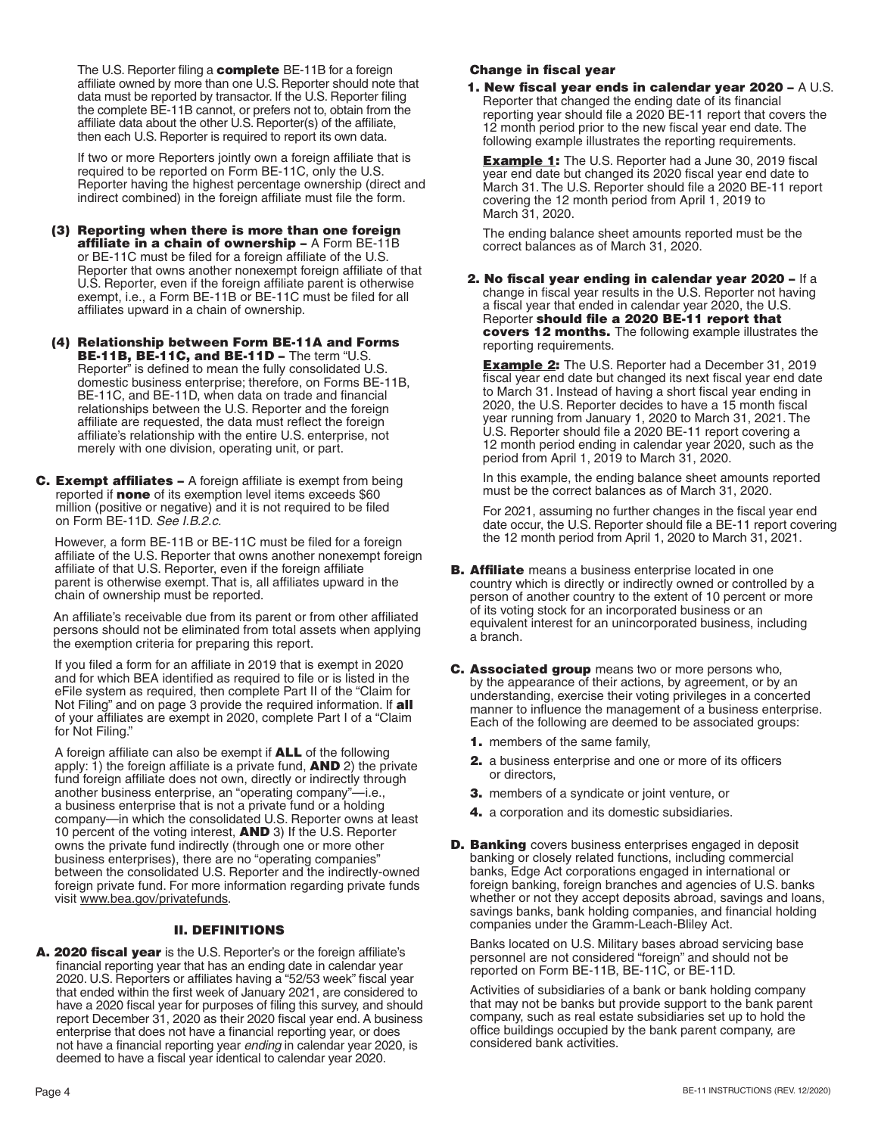The U.S. Reporter filing a **complete** BE-11B for a foreign affiliate owned by more than one U.S. Reporter should note that data must be reported by transactor. If the U.S. Reporter filing the complete BE-11B cannot, or prefers not to, obtain from the affiliate data about the other U.S. Reporter(s) of the affiliate, then each U.S. Reporter is required to report its own data.

If two or more Reporters jointly own a foreign affiliate that is required to be reported on Form BE-11C, only the U.S. Reporter having the highest percentage ownership (direct and indirect combined) in the foreign affiliate must file the form.

- (3) Reporting when there is more than one foreign affiliate in a chain of ownership – A Form BE-11B or BE-11C must be filed for a foreign affiliate of the U.S. Reporter that owns another nonexempt foreign affiliate of that U.S. Reporter, even if the foreign affiliate parent is otherwise exempt, i.e., a Form BE-11B or BE-11C must be filed for all affiliates upward in a chain of ownership.
- (4) Relationship between Form BE-11A and Forms BE-11B, BE-11C, and BE-11D - The term "U.S. Reporter" is defined to mean the fully consolidated U.S. domestic business enterprise; therefore, on Forms BE-11B, BE-11C, and BE-11D, when data on trade and financial relationships between the U.S. Reporter and the foreign affiliate are requested, the data must reflect the foreign affiliate's relationship with the entire U.S. enterprise, not merely with one division, operating unit, or part.
- C. Exempt affiliates A foreign affiliate is exempt from being reported if **none** of its exemption level items exceeds \$60 million (positive or negative) and it is not required to be filed on Form BE-11D. *See I.B.2.c.*

However, a form BE-11B or BE-11C must be filed for a foreign affiliate of the U.S. Reporter that owns another nonexempt foreign affiliate of that U.S. Reporter, even if the foreign affiliate parent is otherwise exempt. That is, all affiliates upward in the chain of ownership must be reported.

An affiliate's receivable due from its parent or from other affiliated persons should not be eliminated from total assets when applying the exemption criteria for preparing this report.

If you filed a form for an affiliate in 2019 that is exempt in 2020 and for which BEA identified as required to file or is listed in the eFile system as required, then complete Part II of the "Claim for Not Filing" and on page 3 provide the required information. If all of your affiliates are exempt in 2020, complete Part I of a "Claim for Not Filing."

A foreign affiliate can also be exempt if ALL of the following apply: 1) the foreign affiliate is a private fund, **AND** 2) the private fund foreign affiliate does not own, directly or indirectly through another business enterprise, an "operating company"—i.e., a business enterprise that is not a private fund or a holding company—in which the consolidated U.S. Reporter owns at least 10 percent of the voting interest, AND 3) If the U.S. Reporter owns the private fund indirectly (through one or more other business enterprises), there are no "operating companies" between the consolidated U.S. Reporter and the indirectly-owned foreign private fund. For more information regarding private funds visit [www.bea.gov/privatefunds.](http://www.bea.gov/privatefunds)

# II. DEFINITIONS

A. 2020 fiscal year is the U.S. Reporter's or the foreign affiliate's financial reporting year that has an ending date in calendar year 2020. U.S. Reporters or affiliates having a "52/53 week" fiscal year that ended within the first week of January 2021, are considered to have a 2020 fiscal year for purposes of filing this survey, and should report December 31, 2020 as their 2020 fiscal year end. A business enterprise that does not have a financial reporting year, or does not have a financial reporting year *ending* in calendar year 2020, is deemed to have a fiscal year identical to calendar year 2020.

# Change in fiscal year

1. New fiscal year ends in calendar year 2020 – A U.S. Reporter that changed the ending date of its financial reporting year should file a 2020 BE-11 report that covers the 12 month period prior to the new fiscal year end date. The following example illustrates the reporting requirements.

**Example 1:** The U.S. Reporter had a June 30, 2019 fiscal year end date but changed its 2020 fiscal year end date to March 31. The U.S. Reporter should file a 2020 BE-11 report covering the 12 month period from April 1, 2019 to March 31, 2020.

The ending balance sheet amounts reported must be the correct balances as of March 31, 2020.

2. No fiscal year ending in calendar year 2020 – If a change in fiscal year results in the U.S. Reporter not having a fiscal year that ended in calendar year 2020, the U.S. Reporter should file a 2020 BE-11 report that covers 12 months. The following example illustrates the reporting requirements.

**Example 2:** The U.S. Reporter had a December 31, 2019 fiscal year end date but changed its next fiscal year end date to March 31. Instead of having a short fiscal year ending in 2020, the U.S. Reporter decides to have a 15 month fiscal year running from January 1, 2020 to March 31, 2021. The U.S. Reporter should file a 2020 BE-11 report covering a 12 month period ending in calendar year 2020, such as the period from April 1, 2019 to March 31, 2020.

In this example, the ending balance sheet amounts reported must be the correct balances as of March 31, 2020.

For 2021, assuming no further changes in the fiscal year end date occur, the U.S. Reporter should file a BE-11 report covering the 12 month period from April 1, 2020 to March 31, 2021.

- **B. Affiliate** means a business enterprise located in one country which is directly or indirectly owned or controlled by a person of another country to the extent of 10 percent or more of its voting stock for an incorporated business or an equivalent interest for an unincorporated business, including a branch.
- **C. Associated group** means two or more persons who, by the appearance of their actions, by agreement, or by an understanding, exercise their voting privileges in a concerted manner to influence the management of a business enterprise. Each of the following are deemed to be associated groups:
	- 1. members of the same family,
	- 2. a business enterprise and one or more of its officers or directors,
	- **3.** members of a syndicate or joint venture, or
	- 4. a corporation and its domestic subsidiaries.
- **D. Banking** covers business enterprises engaged in deposit banking or closely related functions, including commercial banks, Edge Act corporations engaged in international or foreign banking, foreign branches and agencies of U.S. banks whether or not they accept deposits abroad, savings and loans, savings banks, bank holding companies, and financial holding companies under the Gramm-Leach-Bliley Act.

Banks located on U.S. Military bases abroad servicing base personnel are not considered "foreign" and should not be reported on Form BE-11B, BE-11C, or BE-11D.

Activities of subsidiaries of a bank or bank holding company that may not be banks but provide support to the bank parent company, such as real estate subsidiaries set up to hold the office buildings occupied by the bank parent company, are considered bank activities.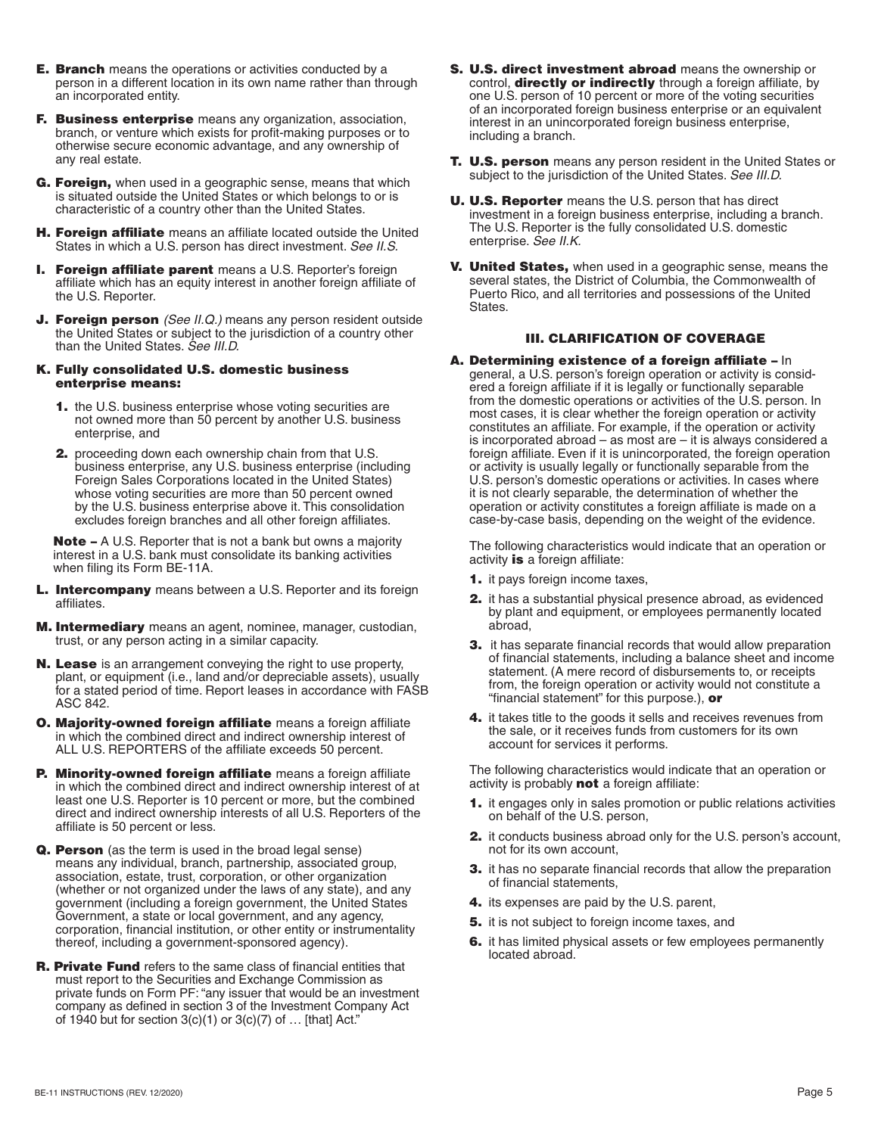- **E. Branch** means the operations or activities conducted by a person in a different location in its own name rather than through an incorporated entity.
- F. Business enterprise means any organization, association, branch, or venture which exists for profit-making purposes or to otherwise secure economic advantage, and any ownership of any real estate.
- G. Foreign, when used in a geographic sense, means that which is situated outside the United States or which belongs to or is characteristic of a country other than the United States.
- **H. Foreign affiliate** means an affiliate located outside the United States in which a U.S. person has direct investment. *See II.S.*
- **I. Foreign affiliate parent** means a U.S. Reporter's foreign affiliate which has an equity interest in another foreign affiliate of the U.S. Reporter.
- **J. Foreign person** *(See II.Q.)* means any person resident outside the United States or subject to the jurisdiction of a country other than the United States. *See III.D.*

#### K. Fully consolidated U.S. domestic business enterprise means:

- 1. the U.S. business enterprise whose voting securities are not owned more than 50 percent by another U.S. business enterprise, and
- **2.** proceeding down each ownership chain from that U.S. business enterprise, any U.S. business enterprise (including Foreign Sales Corporations located in the United States) whose voting securities are more than 50 percent owned by the U.S. business enterprise above it. This consolidation excludes foreign branches and all other foreign affiliates.

Note – A U.S. Reporter that is not a bank but owns a majority interest in a U.S. bank must consolidate its banking activities when filing its Form BE-11A.

- L. Intercompany means between a U.S. Reporter and its foreign affiliates.
- **M. Intermediary** means an agent, nominee, manager, custodian, trust, or any person acting in a similar capacity.
- N. Lease is an arrangement conveying the right to use property, plant, or equipment (i.e., land and/or depreciable assets), usually for a stated period of time. Report leases in accordance with FASB ASC 842.
- O. Majority-owned foreign affiliate means a foreign affiliate in which the combined direct and indirect ownership interest of ALL U.S. REPORTERS of the affiliate exceeds 50 percent.
- P. Minority-owned foreign affiliate means a foreign affiliate in which the combined direct and indirect ownership interest of at least one U.S. Reporter is 10 percent or more, but the combined direct and indirect ownership interests of all U.S. Reporters of the affiliate is 50 percent or less.
- Q. Person (as the term is used in the broad legal sense) means any individual, branch, partnership, associated group, association, estate, trust, corporation, or other organization (whether or not organized under the laws of any state), and any government (including a foreign government, the United States Government, a state or local government, and any agency, corporation, financial institution, or other entity or instrumentality thereof, including a government-sponsored agency).
- **R. Private Fund** refers to the same class of financial entities that must report to the Securities and Exchange Commission as private funds on Form PF: "any issuer that would be an investment company as defined in section 3 of the Investment Company Act of 1940 but for section  $3(c)(1)$  or  $3(c)(7)$  of  $\dots$  [that] Act."
- S. U.S. direct investment abroad means the ownership or control, **directly or indirectly** through a foreign affiliate, by one U.S. person of 10 percent or more of the voting securities of an incorporated foreign business enterprise or an equivalent interest in an unincorporated foreign business enterprise, including a branch.
- **T. U.S. person** means any person resident in the United States or subject to the jurisdiction of the United States. *See III.D.*
- U. U.S. Reporter means the U.S. person that has direct investment in a foreign business enterprise, including a branch. The U.S. Reporter is the fully consolidated U.S. domestic enterprise. *See II.K.*
- V. United States, when used in a geographic sense, means the several states, the District of Columbia, the Commonwealth of Puerto Rico, and all territories and possessions of the United States.

# III. CLARIFICATION OF COVERAGE

A. Determining existence of a foreign affiliate – In general, a U.S. person's foreign operation or activity is considered a foreign affiliate if it is legally or functionally separable from the domestic operations or activities of the U.S. person. In most cases, it is clear whether the foreign operation or activity constitutes an affiliate. For example, if the operation or activity is incorporated abroad – as most are – it is always considered a foreign affiliate. Even if it is unincorporated, the foreign operation or activity is usually legally or functionally separable from the U.S. person's domestic operations or activities. In cases where it is not clearly separable, the determination of whether the operation or activity constitutes a foreign affiliate is made on a case-by-case basis, depending on the weight of the evidence.

The following characteristics would indicate that an operation or activity is a foreign affiliate:

- 1. it pays foreign income taxes,
- 2. it has a substantial physical presence abroad, as evidenced by plant and equipment, or employees permanently located abroad,
- 3. it has separate financial records that would allow preparation of financial statements, including a balance sheet and income statement. (A mere record of disbursements to, or receipts from, the foreign operation or activity would not constitute a "financial statement" for this purpose.), or
- 4. it takes title to the goods it sells and receives revenues from the sale, or it receives funds from customers for its own account for services it performs.

The following characteristics would indicate that an operation or activity is probably **not** a foreign affiliate:

- 1. it engages only in sales promotion or public relations activities on behalf of the U.S. person,
- 2. it conducts business abroad only for the U.S. person's account, not for its own account,
- 3. it has no separate financial records that allow the preparation of financial statements,
- 4. its expenses are paid by the U.S. parent,
- 5. it is not subject to foreign income taxes, and
- 6. it has limited physical assets or few employees permanently located abroad.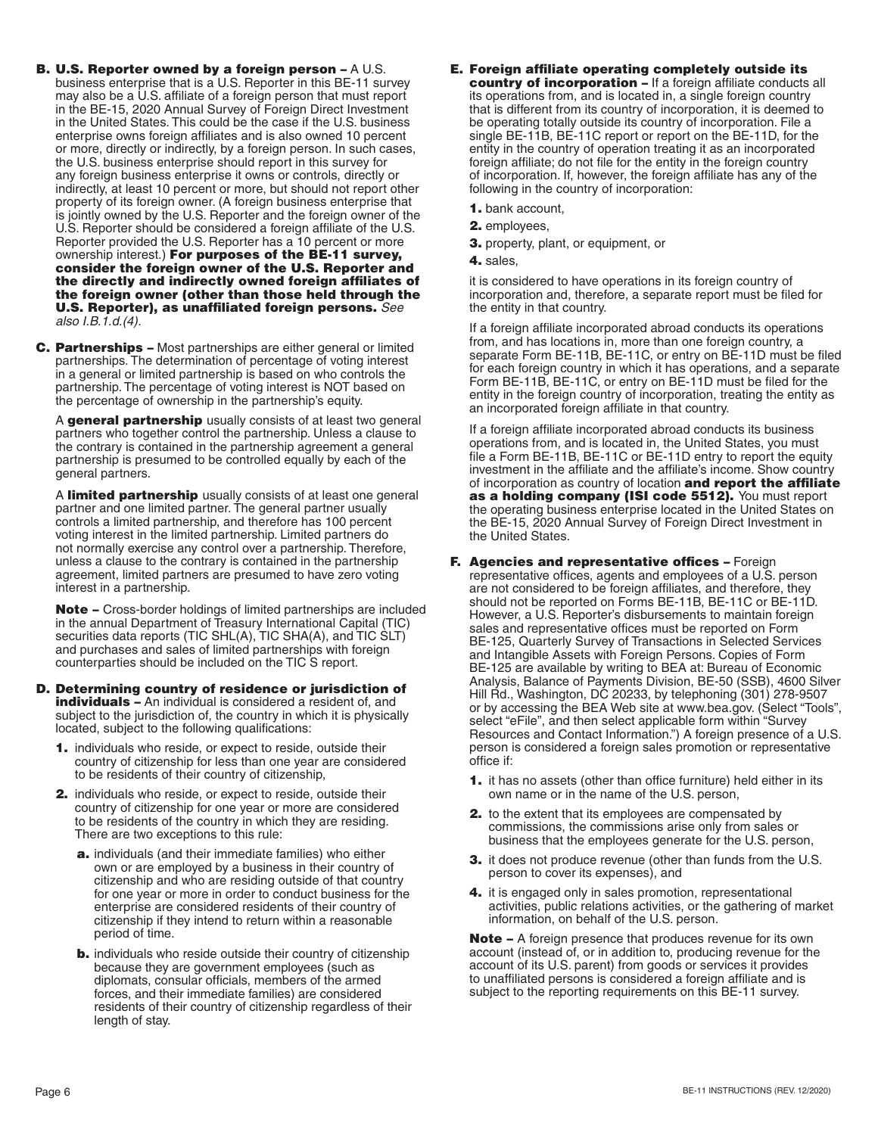- B. U.S. Reporter owned by a foreign person A U.S. business enterprise that is a U.S. Reporter in this BE-11 survey may also be a U.S. affiliate of a foreign person that must report in the BE-15, 2020 Annual Survey of Foreign Direct Investment in the United States. This could be the case if the U.S. business enterprise owns foreign affiliates and is also owned 10 percent or more, directly or indirectly, by a foreign person. In such cases, the U.S. business enterprise should report in this survey for any foreign business enterprise it owns or controls, directly or indirectly, at least 10 percent or more, but should not report other property of its foreign owner. (A foreign business enterprise that is jointly owned by the U.S. Reporter and the foreign owner of the U.S. Reporter should be considered a foreign affiliate of the U.S. Reporter provided the U.S. Reporter has a 10 percent or more ownership interest.) For purposes of the BE-11 survey, consider the foreign owner of the U.S. Reporter and the directly and indirectly owned foreign affiliates of the foreign owner (other than those held through the U.S. Reporter), as unaffiliated foreign persons. *See also I.B.1.d.(4).*
- C. Partnerships Most partnerships are either general or limited partnerships. The determination of percentage of voting interest in a general or limited partnership is based on who controls the partnership. The percentage of voting interest is NOT based on the percentage of ownership in the partnership's equity.

A general partnership usually consists of at least two general partners who together control the partnership. Unless a clause to the contrary is contained in the partnership agreement a general partnership is presumed to be controlled equally by each of the general partners.

A limited partnership usually consists of at least one general partner and one limited partner. The general partner usually controls a limited partnership, and therefore has 100 percent voting interest in the limited partnership. Limited partners do not normally exercise any control over a partnership. Therefore, unless a clause to the contrary is contained in the partnership agreement, limited partners are presumed to have zero voting interest in a partnership.

Note – Cross-border holdings of limited partnerships are included in the annual Department of Treasury International Capital (TIC) securities data reports (TIC SHL(A), TIC SHA(A), and TIC SLT) and purchases and sales of limited partnerships with foreign counterparties should be included on the TIC S report.

- D. Determining country of residence or jurisdiction of **individuals -** An individual is considered a resident of, and subject to the jurisdiction of, the country in which it is physically located, subject to the following qualifications:
	- 1. individuals who reside, or expect to reside, outside their country of citizenship for less than one year are considered to be residents of their country of citizenship,
	- 2. individuals who reside, or expect to reside, outside their country of citizenship for one year or more are considered to be residents of the country in which they are residing. There are two exceptions to this rule:
		- a. individuals (and their immediate families) who either own or are employed by a business in their country of citizenship and who are residing outside of that country for one year or more in order to conduct business for the enterprise are considered residents of their country of citizenship if they intend to return within a reasonable period of time.
		- **b.** individuals who reside outside their country of citizenship because they are government employees (such as diplomats, consular officials, members of the armed forces, and their immediate families) are considered residents of their country of citizenship regardless of their length of stay.
- E. Foreign affiliate operating completely outside its country of incorporation – If a foreign affiliate conducts all its operations from, and is located in, a single foreign country that is different from its country of incorporation, it is deemed to be operating totally outside its country of incorporation. File a single BE-11B, BE-11C report or report on the BE-11D, for the entity in the country of operation treating it as an incorporated foreign affiliate; do not file for the entity in the foreign country of incorporation. If, however, the foreign affiliate has any of the following in the country of incorporation:
	- 1. bank account,
	- 2. employees,
	- 3. property, plant, or equipment, or
	- 4. sales,

it is considered to have operations in its foreign country of incorporation and, therefore, a separate report must be filed for the entity in that country.

If a foreign affiliate incorporated abroad conducts its operations from, and has locations in, more than one foreign country, a separate Form BE-11B, BE-11C, or entry on BE-11D must be filed for each foreign country in which it has operations, and a separate Form BE-11B, BE-11C, or entry on BE-11D must be filed for the entity in the foreign country of incorporation, treating the entity as an incorporated foreign affiliate in that country.

If a foreign affiliate incorporated abroad conducts its business operations from, and is located in, the United States, you must file a Form BE-11B, BE-11C or BE-11D entry to report the equity investment in the affiliate and the affiliate's income. Show country of incorporation as country of location and report the affiliate as a holding company (ISI code 5512). You must report the operating business enterprise located in the United States on the BE-15, 2020 Annual Survey of Foreign Direct Investment in the United States.

- F. Agencies and representative offices Foreign representative offices, agents and employees of a U.S. person are not considered to be foreign affiliates, and therefore, they should not be reported on Forms BE-11B, BE-11C or BE-11D. However, a U.S. Reporter's disbursements to maintain foreign sales and representative offices must be reported on Form BE-125, Quarterly Survey of Transactions in Selected Services and Intangible Assets with Foreign Persons. Copies of Form BE-125 are available by writing to BEA at: Bureau of Economic Analysis, Balance of Payments Division, BE-50 (SSB), 4600 Silver Hill Rd., Washington, DC 20233, by telephoning (301) 278-9507 or by accessing the BEA Web site at [www.bea.gov](http://www.bea.gov). (Select "Tools", select "eFile", and then select applicable form within "Survey Resources and Contact Information.") A foreign presence of a U.S. person is considered a foreign sales promotion or representative office if:
	- 1. it has no assets (other than office furniture) held either in its own name or in the name of the U.S. person,
	- 2. to the extent that its employees are compensated by commissions, the commissions arise only from sales or business that the employees generate for the U.S. person,
	- 3. it does not produce revenue (other than funds from the U.S. person to cover its expenses), and
	- 4. it is engaged only in sales promotion, representational activities, public relations activities, or the gathering of market information, on behalf of the U.S. person.

**Note –** A foreign presence that produces revenue for its own account (instead of, or in addition to, producing revenue for the account of its U.S. parent) from goods or services it provides to unaffiliated persons is considered a foreign affiliate and is subject to the reporting requirements on this BE-11 survey.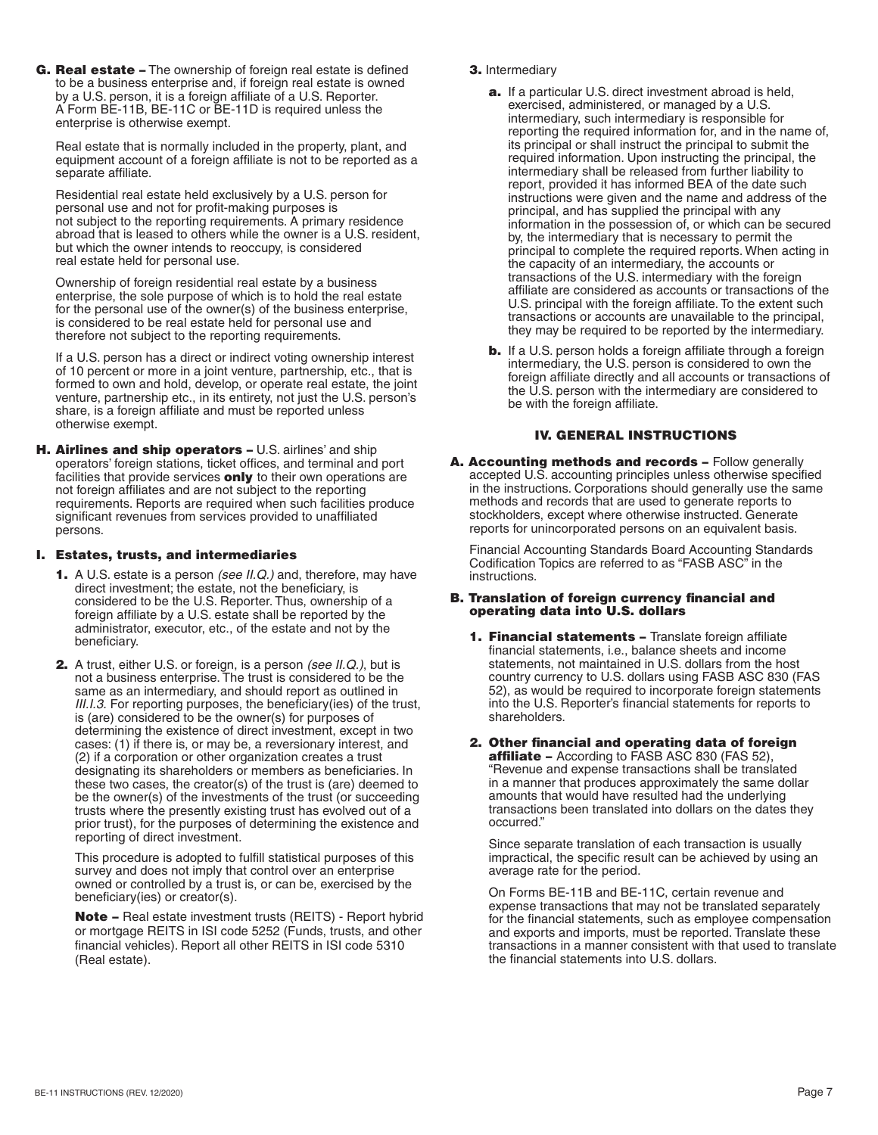G. Real estate – The ownership of foreign real estate is defined to be a business enterprise and, if foreign real estate is owned by a U.S. person, it is a foreign affiliate of a U.S. Reporter. A Form BE-11B, BE-11C or BE-11D is required unless the enterprise is otherwise exempt.

Real estate that is normally included in the property, plant, and equipment account of a foreign affiliate is not to be reported as a separate affiliate.

Residential real estate held exclusively by a U.S. person for personal use and not for profit-making purposes is not subject to the reporting requirements. A primary residence abroad that is leased to others while the owner is a U.S. resident, but which the owner intends to reoccupy, is considered real estate held for personal use.

Ownership of foreign residential real estate by a business enterprise, the sole purpose of which is to hold the real estate for the personal use of the owner(s) of the business enterprise, is considered to be real estate held for personal use and therefore not subject to the reporting requirements.

If a U.S. person has a direct or indirect voting ownership interest of 10 percent or more in a joint venture, partnership, etc., that is formed to own and hold, develop, or operate real estate, the joint venture, partnership etc., in its entirety, not just the U.S. person's share, is a foreign affiliate and must be reported unless otherwise exempt.

H. Airlines and ship operators - U.S. airlines' and ship operators' foreign stations, ticket offices, and terminal and port facilities that provide services **only** to their own operations are not foreign affiliates and are not subject to the reporting requirements. Reports are required when such facilities produce significant revenues from services provided to unaffiliated persons.

## I. Estates, trusts, and intermediaries

- 1. A U.S. estate is a person *(see II.Q.)* and, therefore, may have direct investment; the estate, not the beneficiary, is considered to be the U.S. Reporter. Thus, ownership of a foreign affiliate by a U.S. estate shall be reported by the administrator, executor, etc., of the estate and not by the beneficiary.
- 2. A trust, either U.S. or foreign, is a person *(see II.Q.)*, but is not a business enterprise. The trust is considered to be the same as an intermediary, and should report as outlined in *III.I.3.* For reporting purposes, the beneficiary(ies) of the trust, is (are) considered to be the owner(s) for purposes of determining the existence of direct investment, except in two cases: (1) if there is, or may be, a reversionary interest, and (2) if a corporation or other organization creates a trust designating its shareholders or members as beneficiaries. In these two cases, the creator(s) of the trust is (are) deemed to be the owner(s) of the investments of the trust (or succeeding trusts where the presently existing trust has evolved out of a prior trust), for the purposes of determining the existence and reporting of direct investment.

This procedure is adopted to fulfill statistical purposes of this survey and does not imply that control over an enterprise owned or controlled by a trust is, or can be, exercised by the beneficiary(ies) or creator(s).

Note – Real estate investment trusts (REITS) - Report hybrid or mortgage REITS in ISI code 5252 (Funds, trusts, and other financial vehicles). Report all other REITS in ISI code 5310 (Real estate).

# 3. Intermediary

- a. If a particular U.S. direct investment abroad is held, exercised, administered, or managed by a U.S. intermediary, such intermediary is responsible for reporting the required information for, and in the name of, its principal or shall instruct the principal to submit the required information. Upon instructing the principal, the intermediary shall be released from further liability to report, provided it has informed BEA of the date such instructions were given and the name and address of the principal, and has supplied the principal with any information in the possession of, or which can be secured by, the intermediary that is necessary to permit the principal to complete the required reports. When acting in the capacity of an intermediary, the accounts or transactions of the U.S. intermediary with the foreign affiliate are considered as accounts or transactions of the U.S. principal with the foreign affiliate. To the extent such transactions or accounts are unavailable to the principal, they may be required to be reported by the intermediary.
- **b.** If a U.S. person holds a foreign affiliate through a foreign intermediary, the U.S. person is considered to own the foreign affiliate directly and all accounts or transactions of the U.S. person with the intermediary are considered to be with the foreign affiliate.

# IV. GENERAL INSTRUCTIONS

A. Accounting methods and records - Follow generally accepted U.S. accounting principles unless otherwise specified in the instructions. Corporations should generally use the same methods and records that are used to generate reports to stockholders, except where otherwise instructed. Generate reports for unincorporated persons on an equivalent basis.

Financial Accounting Standards Board Accounting Standards Codification Topics are referred to as "FASB ASC" in the instructions.

### B. Translation of foreign currency financial and operating data into U.S. dollars

- 1. Financial statements Translate foreign affiliate financial statements, i.e., balance sheets and income statements, not maintained in U.S. dollars from the host country currency to U.S. dollars using FASB ASC 830 (FAS 52), as would be required to incorporate foreign statements into the U.S. Reporter's financial statements for reports to shareholders.
- 2. Other financial and operating data of foreign **affiliate –** According to FASB ASC 830 (FAS 52), "Revenue and expense transactions shall be translated in a manner that produces approximately the same dollar amounts that would have resulted had the underlying transactions been translated into dollars on the dates they occurred."

Since separate translation of each transaction is usually impractical, the specific result can be achieved by using an average rate for the period.

On Forms BE-11B and BE-11C, certain revenue and expense transactions that may not be translated separately for the financial statements, such as employee compensation and exports and imports, must be reported. Translate these transactions in a manner consistent with that used to translate the financial statements into U.S. dollars.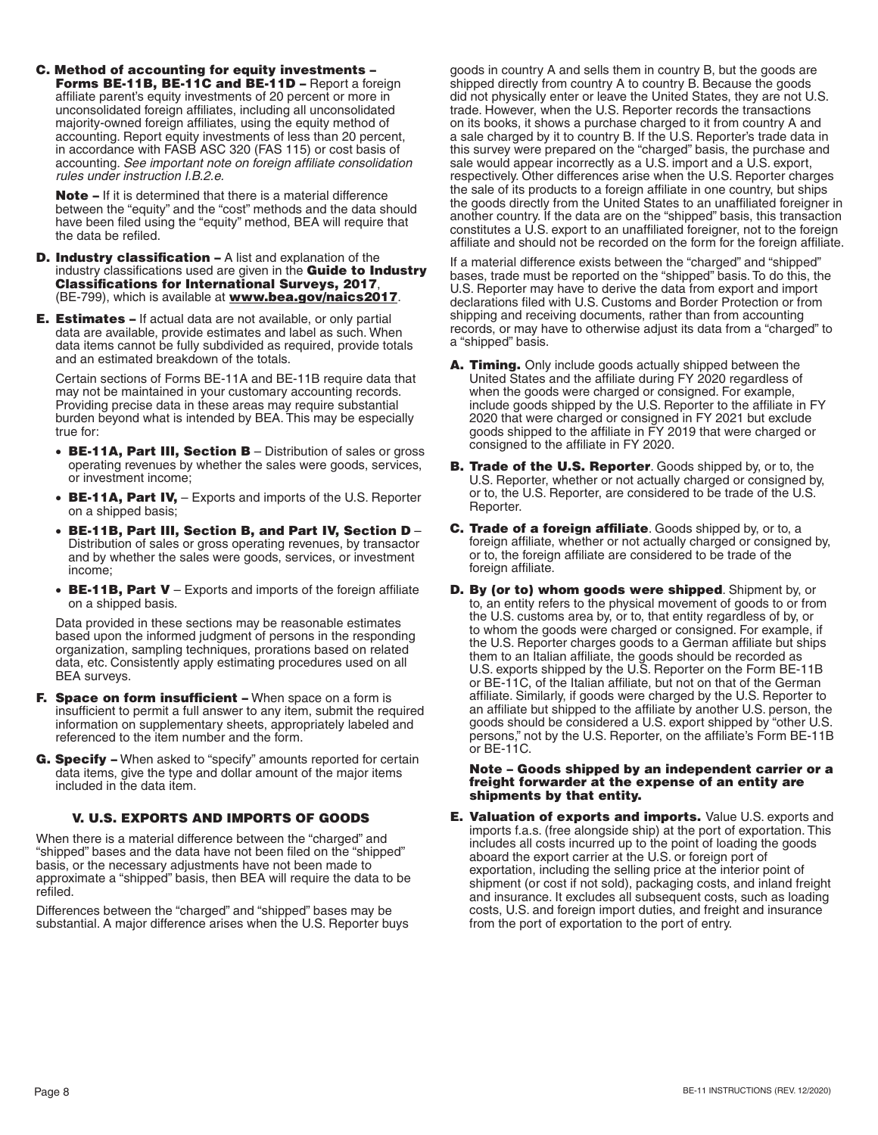C. Method of accounting for equity investments – Forms BE-11B, BE-11C and BE-11D - Report a foreign affiliate parent's equity investments of 20 percent or more in unconsolidated foreign affiliates, including all unconsolidated majority-owned foreign affiliates, using the equity method of accounting. Report equity investments of less than 20 percent, in accordance with FASB ASC 320 (FAS 115) or cost basis of accounting. *See important note on foreign affiliate consolidation rules under instruction I.B.2.e.* 

Note – If it is determined that there is a material difference between the "equity" and the "cost" methods and the data should have been filed using the "equity" method, BEA will require that the data be refiled.

- D. Industry classification A list and explanation of the industry classifications used are given in the **Guide to Industry** Classifications for International Surveys, 2017, (BE-799), which is available at **[www.bea.gov/naics2017](http://www.bea.gov/naics2017)**.
- **E. Estimates –** If actual data are not available, or only partial data are available, provide estimates and label as such. When data items cannot be fully subdivided as required, provide totals and an estimated breakdown of the totals.

Certain sections of Forms BE-11A and BE-11B require data that may not be maintained in your customary accounting records. Providing precise data in these areas may require substantial burden beyond what is intended by BEA. This may be especially true for:

- BE-11A, Part III, Section B Distribution of sales or gross operating revenues by whether the sales were goods, services, or investment income;
- BE-11A, Part IV, Exports and imports of the U.S. Reporter on a shipped basis;
- BE-11B, Part III, Section B, and Part IV, Section D Distribution of sales or gross operating revenues, by transactor and by whether the sales were goods, services, or investment income;
- BE-11B, Part V Exports and imports of the foreign affiliate on a shipped basis.

Data provided in these sections may be reasonable estimates based upon the informed judgment of persons in the responding organization, sampling techniques, prorations based on related data, etc. Consistently apply estimating procedures used on all BEA surveys.

- F. Space on form insufficient When space on a form is insufficient to permit a full answer to any item, submit the required information on supplementary sheets, appropriately labeled and referenced to the item number and the form.
- G. Specify When asked to "specify" amounts reported for certain data items, give the type and dollar amount of the major items included in the data item.

#### V. U.S. EXPORTS AND IMPORTS OF GOODS

When there is a material difference between the "charged" and "shipped" bases and the data have not been filed on the "shipped" basis, or the necessary adjustments have not been made to approximate a "shipped" basis, then BEA will require the data to be refiled.

Differences between the "charged" and "shipped" bases may be substantial. A major difference arises when the U.S. Reporter buys goods in country A and sells them in country B, but the goods are shipped directly from country A to country B. Because the goods did not physically enter or leave the United States, they are not U.S. trade. However, when the U.S. Reporter records the transactions on its books, it shows a purchase charged to it from country A and a sale charged by it to country B. If the U.S. Reporter's trade data in this survey were prepared on the "charged" basis, the purchase and sale would appear incorrectly as a U.S. import and a U.S. export, respectively. Other differences arise when the U.S. Reporter charges the sale of its products to a foreign affiliate in one country, but ships the goods directly from the United States to an unaffiliated foreigner in another country. If the data are on the "shipped" basis, this transaction constitutes a U.S. export to an unaffiliated foreigner, not to the foreign affiliate and should not be recorded on the form for the foreign affiliate.

If a material difference exists between the "charged" and "shipped" bases, trade must be reported on the "shipped" basis. To do this, the U.S. Reporter may have to derive the data from export and import declarations filed with U.S. Customs and Border Protection or from shipping and receiving documents, rather than from accounting records, or may have to otherwise adjust its data from a "charged" to a "shipped" basis.

- A. Timing. Only include goods actually shipped between the United States and the affiliate during FY 2020 regardless of when the goods were charged or consigned. For example, include goods shipped by the U.S. Reporter to the affiliate in FY 2020 that were charged or consigned in FY 2021 but exclude goods shipped to the affiliate in FY 2019 that were charged or consigned to the affiliate in FY 2020.
- **B. Trade of the U.S. Reporter**. Goods shipped by, or to, the U.S. Reporter, whether or not actually charged or consigned by, or to, the U.S. Reporter, are considered to be trade of the U.S. Reporter.
- C. Trade of a foreign affiliate. Goods shipped by, or to, a foreign affiliate, whether or not actually charged or consigned by, or to, the foreign affiliate are considered to be trade of the foreign affiliate.
- D. By (or to) whom goods were shipped. Shipment by, or to, an entity refers to the physical movement of goods to or from the U.S. customs area by, or to, that entity regardless of by, or to whom the goods were charged or consigned. For example, if the U.S. Reporter charges goods to a German affiliate but ships them to an Italian affiliate, the goods should be recorded as U.S. exports shipped by the U.S. Reporter on the Form BE-11B or BE-11C, of the Italian affiliate, but not on that of the German affiliate. Similarly, if goods were charged by the U.S. Reporter to an affiliate but shipped to the affiliate by another U.S. person, the goods should be considered a U.S. export shipped by "other U.S. persons," not by the U.S. Reporter, on the affiliate's Form BE-11B or BE-11C.

#### Note – Goods shipped by an independent carrier or a freight forwarder at the expense of an entity are shipments by that entity.

**E. Valuation of exports and imports.** Value U.S. exports and imports f.a.s. (free alongside ship) at the port of exportation. This includes all costs incurred up to the point of loading the goods aboard the export carrier at the U.S. or foreign port of exportation, including the selling price at the interior point of shipment (or cost if not sold), packaging costs, and inland freight and insurance. It excludes all subsequent costs, such as loading costs, U.S. and foreign import duties, and freight and insurance from the port of exportation to the port of entry.